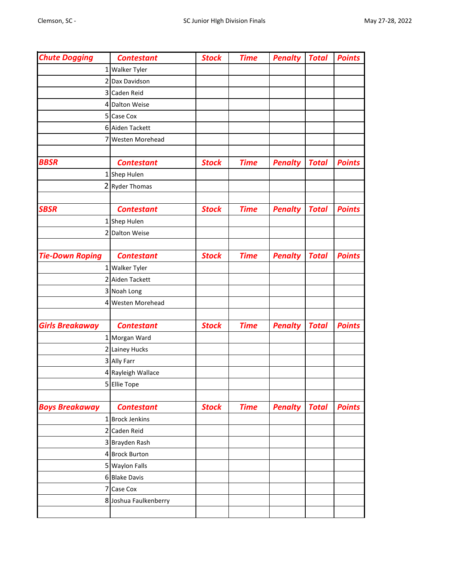| <b>Chute Dogging</b>   | <b>Contestant</b>      | <b>Stock</b> | <b>Time</b> | <b>Penalty</b> | <b>Total</b> | <b>Points</b> |
|------------------------|------------------------|--------------|-------------|----------------|--------------|---------------|
|                        | 1 Walker Tyler         |              |             |                |              |               |
| 2                      | Dax Davidson           |              |             |                |              |               |
| 3                      | Caden Reid             |              |             |                |              |               |
| 4                      | <b>Dalton Weise</b>    |              |             |                |              |               |
| 5                      | Case Cox               |              |             |                |              |               |
|                        | 6 Aiden Tackett        |              |             |                |              |               |
| 7                      | <b>Westen Morehead</b> |              |             |                |              |               |
|                        |                        |              |             |                |              |               |
| <b>BBSR</b>            | <b>Contestant</b>      | <b>Stock</b> | <b>Time</b> | <b>Penalty</b> | <b>Total</b> | <b>Points</b> |
|                        | 1 Shep Hulen           |              |             |                |              |               |
| 2                      | <b>Ryder Thomas</b>    |              |             |                |              |               |
|                        |                        |              |             |                |              |               |
| <b>SBSR</b>            | <b>Contestant</b>      | <b>Stock</b> | <b>Time</b> | <b>Penalty</b> | <b>Total</b> | <b>Points</b> |
| 1                      | Shep Hulen             |              |             |                |              |               |
|                        | 2 Dalton Weise         |              |             |                |              |               |
|                        |                        |              |             |                |              |               |
| <b>Tie-Down Roping</b> | <b>Contestant</b>      | <b>Stock</b> | <b>Time</b> | <b>Penalty</b> | <b>Total</b> | <b>Points</b> |
|                        | 1 Walker Tyler         |              |             |                |              |               |
|                        | 2 Aiden Tackett        |              |             |                |              |               |
|                        | 3 Noah Long            |              |             |                |              |               |
| 4                      | <b>Westen Morehead</b> |              |             |                |              |               |
|                        |                        |              |             |                |              |               |
| <b>Girls Breakaway</b> | <b>Contestant</b>      | <b>Stock</b> | <b>Time</b> | <b>Penalty</b> | <b>Total</b> | <b>Points</b> |
|                        | 1 Morgan Ward          |              |             |                |              |               |
|                        | 2 Lainey Hucks         |              |             |                |              |               |
|                        | 3 Ally Farr            |              |             |                |              |               |
|                        | 4 Rayleigh Wallace     |              |             |                |              |               |
|                        | 5 Ellie Tope           |              |             |                |              |               |
|                        |                        |              |             |                |              |               |
| <b>Boys Breakaway</b>  | <b>Contestant</b>      | <b>Stock</b> | <b>Time</b> | <b>Penalty</b> | <b>Total</b> | <b>Points</b> |
|                        | 1 Brock Jenkins        |              |             |                |              |               |
|                        | 2 Caden Reid           |              |             |                |              |               |
|                        | 3 Brayden Rash         |              |             |                |              |               |
|                        | 4 Brock Burton         |              |             |                |              |               |
|                        | 5 Waylon Falls         |              |             |                |              |               |
|                        | 6 Blake Davis          |              |             |                |              |               |
|                        | 7 Case Cox             |              |             |                |              |               |
|                        | 8 Joshua Faulkenberry  |              |             |                |              |               |
|                        |                        |              |             |                |              |               |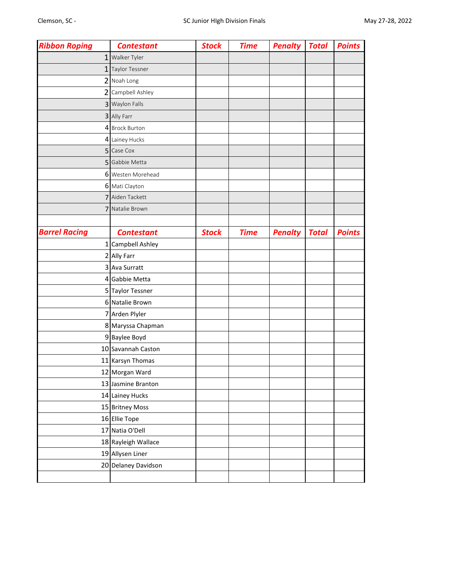| <b>Ribbon Roping</b> | <b>Contestant</b>     | <b>Stock</b> | <b>Time</b> | <b>Penalty</b> | <b>Total</b> | <b>Points</b> |
|----------------------|-----------------------|--------------|-------------|----------------|--------------|---------------|
|                      | 1 Walker Tyler        |              |             |                |              |               |
| $\mathbf{1}$         | <b>Taylor Tessner</b> |              |             |                |              |               |
|                      | 2 Noah Long           |              |             |                |              |               |
| $\overline{2}$       | Campbell Ashley       |              |             |                |              |               |
|                      | 3 Waylon Falls        |              |             |                |              |               |
|                      | 3 Ally Farr           |              |             |                |              |               |
|                      | 4 Brock Burton        |              |             |                |              |               |
|                      | 4 Lainey Hucks        |              |             |                |              |               |
|                      | 5 Case Cox            |              |             |                |              |               |
|                      | 5 Gabbie Metta        |              |             |                |              |               |
|                      | 6 Westen Morehead     |              |             |                |              |               |
|                      | 6 Mati Clayton        |              |             |                |              |               |
| 7                    | Aiden Tackett         |              |             |                |              |               |
| 7                    | Natalie Brown         |              |             |                |              |               |
|                      |                       |              |             |                |              |               |
| <b>Barrel Racing</b> | <b>Contestant</b>     | <b>Stock</b> | <b>Time</b> | <b>Penalty</b> | <b>Total</b> | <b>Points</b> |
| 1                    | Campbell Ashley       |              |             |                |              |               |
|                      | 2 Ally Farr           |              |             |                |              |               |
|                      | 3 Ava Surratt         |              |             |                |              |               |
|                      | 4 Gabbie Metta        |              |             |                |              |               |
|                      | 5 Taylor Tessner      |              |             |                |              |               |
|                      | 6 Natalie Brown       |              |             |                |              |               |
|                      | 7 Arden Plyler        |              |             |                |              |               |
|                      | 8 Maryssa Chapman     |              |             |                |              |               |
|                      | 9 Baylee Boyd         |              |             |                |              |               |
|                      | 10 Savannah Caston    |              |             |                |              |               |
|                      | 11 Karsyn Thomas      |              |             |                |              |               |
|                      | 12 Morgan Ward        |              |             |                |              |               |
|                      | 13 Jasmine Branton    |              |             |                |              |               |
|                      | 14 Lainey Hucks       |              |             |                |              |               |
|                      | 15 Britney Moss       |              |             |                |              |               |
|                      | 16 Ellie Tope         |              |             |                |              |               |
|                      | 17 Natia O'Dell       |              |             |                |              |               |
|                      | 18 Rayleigh Wallace   |              |             |                |              |               |
|                      | 19 Allysen Liner      |              |             |                |              |               |
|                      | 20 Delaney Davidson   |              |             |                |              |               |
|                      |                       |              |             |                |              |               |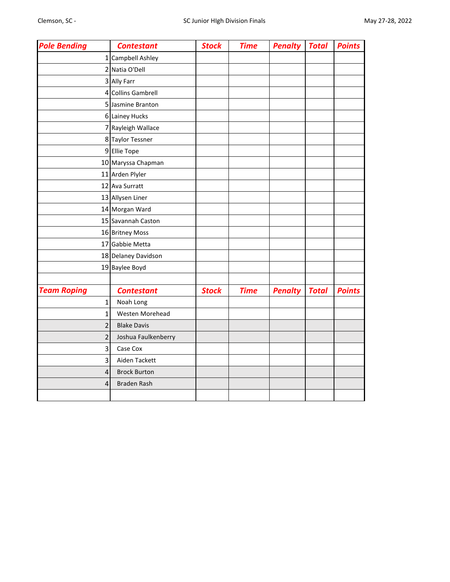| <b>Pole Bending</b> | <b>Contestant</b>   | <b>Stock</b> | <b>Time</b> | <b>Penalty</b> | <b>Total</b> | <b>Points</b> |
|---------------------|---------------------|--------------|-------------|----------------|--------------|---------------|
| 1                   | Campbell Ashley     |              |             |                |              |               |
|                     | 2 Natia O'Dell      |              |             |                |              |               |
|                     | 3 Ally Farr         |              |             |                |              |               |
|                     | 4 Collins Gambrell  |              |             |                |              |               |
|                     | 5 Jasmine Branton   |              |             |                |              |               |
|                     | 6 Lainey Hucks      |              |             |                |              |               |
|                     | 7 Rayleigh Wallace  |              |             |                |              |               |
|                     | 8 Taylor Tessner    |              |             |                |              |               |
|                     | 9 Ellie Tope        |              |             |                |              |               |
|                     | 10 Maryssa Chapman  |              |             |                |              |               |
|                     | 11 Arden Plyler     |              |             |                |              |               |
|                     | 12 Ava Surratt      |              |             |                |              |               |
|                     | 13 Allysen Liner    |              |             |                |              |               |
|                     | 14 Morgan Ward      |              |             |                |              |               |
|                     | 15 Savannah Caston  |              |             |                |              |               |
|                     | 16 Britney Moss     |              |             |                |              |               |
|                     | 17 Gabbie Metta     |              |             |                |              |               |
|                     | 18 Delaney Davidson |              |             |                |              |               |
|                     | 19 Baylee Boyd      |              |             |                |              |               |
|                     |                     |              |             |                |              |               |
| <b>Team Roping</b>  | <b>Contestant</b>   | <b>Stock</b> | <b>Time</b> | <b>Penalty</b> | <b>Total</b> | <b>Points</b> |
| 1                   | Noah Long           |              |             |                |              |               |
| 1                   | Westen Morehead     |              |             |                |              |               |
| 2                   | <b>Blake Davis</b>  |              |             |                |              |               |
| 2                   | Joshua Faulkenberry |              |             |                |              |               |
| 3                   | Case Cox            |              |             |                |              |               |
| 3                   | Aiden Tackett       |              |             |                |              |               |
| 4                   | <b>Brock Burton</b> |              |             |                |              |               |
| 4                   | <b>Braden Rash</b>  |              |             |                |              |               |
|                     |                     |              |             |                |              |               |